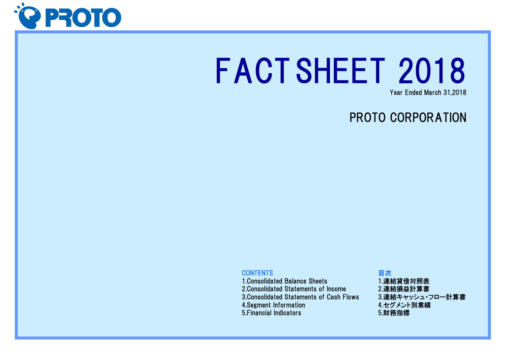

# FACTSHEET 2018

Year Ended March 31,2018

# PROTO CORPORATION

#### **CONTENTS**

1.Consolidated Balance Sheets 2.Consolidated Statements of Income 3.Consolidated Statements of Cash Flows 4.Segment Information 5.Financial Indicators

### 目次 1.連結貸借対照表 2.連結損益計算書 3.連結キャッシュ・フロー計算書 4.セグメント別業績 5.財務指標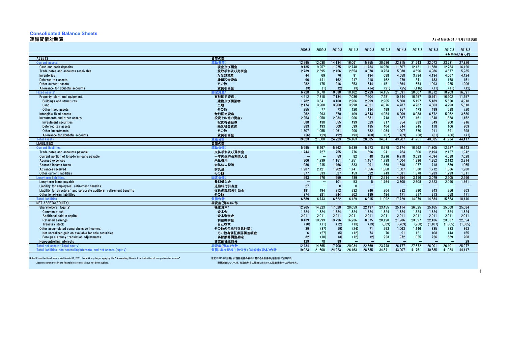# **Consolidated Balance Sheets**

連結貸借対照表 As of March 31 / 3月31日現在 As of March 31 / 3月31日現在 As of March 31 / 3月31日現在

|                                                                       |                          | 2008.3            | 2009.3                   | 2010.3     | 2011.3                   | 2012.3                   | 2013.3     | 2014.3                   | 2015.3       | 2016.3                   | 2017.3                   | 2018.3        |
|-----------------------------------------------------------------------|--------------------------|-------------------|--------------------------|------------|--------------------------|--------------------------|------------|--------------------------|--------------|--------------------------|--------------------------|---------------|
|                                                                       |                          |                   |                          |            |                          |                          |            |                          |              |                          |                          | ¥Millions/百万円 |
| <b>ASSETS</b>                                                         | 資産の部                     |                   |                          |            |                          |                          |            |                          |              |                          |                          |               |
| Current a                                                             | 动脊密                      | 12.295            | 12.038                   | 14.184     | 16.061                   | 15,855                   | 20.686     | 22.815                   | 21.743       | 22,073                   | 23.731                   | 27,826        |
| Cash and cash deposits                                                | 現金及び預金                   | 9.135             | 9.257                    | 11.275     | 12.748                   | 11.734                   | 14.950     | 11.507                   | 12.431       | 11.688                   | 12.784                   | 16.120        |
| Trade notes and accounts receivable                                   | 受取手形及び売掛金                | 2,739             | 2,395                    | 2,456      | 2,654                    | 3,078                    | 3,754      | 5,030                    | 4,696        | 4,986                    | 4,877                    | 5,235         |
| Inventories                                                           | たな卸資産                    | 44                | 69                       | 76         | 91                       | 194                      | 688        | 4.658                    | 3.734        | 4.134                    | 4.667                    | 4,424         |
| Deferred tax assets                                                   | 繰延税金資産                   | 96                | 141                      | 162        | 217                      | 218                      | 162        | 279                      | 341          | 183                      | 178                      | 151           |
| Other current assets                                                  | その他                      | 282               | 175                      | 216        | 353                      | 644                      | 1,151      | 1,364                    | 654          | 1.093                    | 1,235                    | 1,906         |
| Allowance for doubtful accounts                                       | 貸倒引当金                    | (3)               | (1)                      | (2)        | (3)                      | (14)                     | (21)       | (25)                     | (116)        | (11)                     | (11)                     | (12)          |
| Fixed a                                                               | 完資さ                      | 6.728             | 9.570                    | 10.038     | 10.102                   | 12,729                   | 14.155     | 21.091                   | 20.007       | 18.812                   | 18.203                   | 16,591        |
| Property, plant and equipment:                                        | 有形固定資産:                  | 4,212             | 7,318                    | 7.134      | 7,086                    | 7,204                    | 7.481      | 10,544                   | 10.457       | 10.791                   | 10,902                   | 11.457        |
| <b>Buildings and structures</b>                                       | 建物及び構築物                  | 1,782             | 3,341                    | 3,160      | 2,966                    | 2,999                    | 2,905      | 5,500                    | 5,197        | 5.489                    | 5,520                    | 4,918         |
| Land                                                                  | 土地                       | 2.174             | 3.900                    | 3.900      | 3.998                    | 4.021                    | 4.076      | 4.787                    | 4.787        | 4.803                    | 4.793                    | 5.818         |
| Other fixed assets                                                    | その他                      | 255               | 77                       | 73         | 120                      | 184                      | 499        | 257                      | 473          | 499                      | 588                      | 720           |
| Intangible fixed assets                                               | 無形固定資産                   | 262               | 293                      | 870        | 1.109                    | 3.643                    | 4.954      | 8.909                    | 8.088        | 6.672                    | 5.962                    | 3.680         |
| Investments and other assets:                                         | 投資その他の資産:                | 2,253             | 1.958                    | 2,034      | 1.906                    | 1.881                    | 1.718      | 1.637                    | 1.461        | 1.348                    | 1.338                    | 1.452         |
| Investment securities                                                 | 投資有価証券                   | 588               | 438<br>493               | 555<br>508 | 499                      | 623                      | 317<br>404 | 354                      | 383          | 349                      | 900                      | 916           |
| Deferred tax assets<br>Other investments                              | 繰延税金資産                   | 383<br>1,307      | 1.055                    | 1.061      | 599                      | 435<br>882               | 1.064      | 344<br>1.007             | 245<br>870   | 118<br>911               | 106<br>391               | 209           |
| Allowance for doubtful accounts                                       | その他<br>貸倒引当金             | (26)              | (29)                     | (92)       | 900<br>(93)              | (60)                     | (67)       | (69)                     | (38)         | (31)                     | (60)                     | 398<br>(71)   |
| <b>Total assets</b>                                                   | 資産合計                     | 19.023            | 21.608                   | 24.223     | 26.163                   | 28.585                   | 34.841     | 43.907                   | 41.751       | 40.885                   | 41.934                   | 44.417        |
| <b>LIABILITIES</b>                                                    | 負債の部                     |                   |                          |            |                          |                          |            |                          |              |                          |                          |               |
| <b>Current liabi</b>                                                  | 帝動省作                     | 5.995             | 6.167                    | 5,862      | 5,639                    | 5,573                    | 8.578      | 13.174                   | 10.962       | 11.805                   | 12,627                   | 16.143        |
| Trade notes and accounts payable                                      | 支払手形及び買掛金                | 1,744             | 727                      | 755        | 776                      | 896                      | 941        | 764                      | 806          | 2,194                    | 2,127                    | 1,942         |
| Current portion of long-term loans payable                            | 一年内返済長期借入金               | -                 |                          | 59         | 82                       | 48                       | 3.216      | 6.218                    | 3.623        | 4.094                    | 4.588                    | 7.028         |
| <b>Accrued expenses</b>                                               | 未払費用                     | 906               | 1,239                    | 1,151      | 1,251                    | 1,457                    | 1,738      | 1,504                    | 1,996        | 1,852                    | 2,142                    | 2,314         |
| Accrued income taxes                                                  | 未払法人税等                   | 980               | 1,245                    | 1.466      | 1,333                    | 991                      | 368        | 1,598                    | 1,077        | 718                      | 589                      | 1.065         |
| Advances received                                                     | 前受金                      | 1.987             | 2,121                    | 1.902      | 1.741                    | 1.656                    | 1.568      | 1,507                    | 1.580        | 1.712                    | 1.886                    | 1.980         |
| Other current liabilities                                             | その他                      | 377               | 833                      | 527        | 453                      | 522                      | 743        | 1.581                    | 1.878        | 1.233                    | 1,293                    | 1.811         |
| Long-term liabi                                                       | 1定負{                     | 593               | 576                      | 659        | 489                      | 441                      | 2.514      | 4.554                    | 3.116        | 3.079                    | 2.905                    | 2,296         |
| Long-term loans payable                                               | 長期借入金                    | $\qquad \qquad -$ | $\qquad \qquad -$        | 101        | 53                       | $5\overline{5}$          | 1.764      | 3,800                    | 2.608        | 2,523                    | 2,090                    | 1,561         |
| Liability for employees' retirement benefits                          | 退職給付引当金                  | 27                | $\overline{\phantom{m}}$ | $\Omega$   | $\overline{0}$           | $\overline{\phantom{0}}$ |            | $\overline{\phantom{m}}$ |              | $\overline{\phantom{0}}$ | $\overline{\phantom{0}}$ |               |
| Liability for directors' and corporate auditors' retirement benefits  | 役員退職慰労引当金                | 191               | 194                      | 212        | 232                      | 246                      | 264        | 282                      | 290          | 243                      | 256                      | 263           |
| Other long-term liabilities                                           | その他                      | 374               | 381                      | 344        | 202                      | 189                      | 484        | 471                      | 217          | 313                      | 558                      | 471           |
| <b>Total</b>                                                          | i債合計                     | 6,589             | 6.743                    | 6,522      | 6,129                    | 6.015                    | 11,092     | 17.729                   | 14.079       | 14.884                   | 15,533                   | 18.440        |
| NET ASSETS(EQUITY)                                                    | 純資産(資本)の部                |                   |                          |            |                          |                          |            |                          |              |                          |                          |               |
| Shareholders' Equity:                                                 | 株主資本:                    | 12,265            | 14.823                   | 17.620     | 20.059                   | 22.497                   | 23.455     | 25,114                   | 26,525       | 25.165                   | 25,568                   | 25.084        |
| <b>Common stock</b>                                                   | 資本金                      | 1,824             | 1,824                    | 1,824      | 1,824                    | 1,824                    | 1,824      | 1,824                    | 1,824        | 1.824                    | 1,824                    | 1,824         |
| Additional paid-in capital                                            | 資本剰余金                    | 2.011             | 2.011                    | 2.011      | 2.011                    | 2.011                    | 2.011      | 2.011                    | 2.011        | 2.011                    | 2.011                    | 2.011         |
| <b>Retained earnings</b>                                              | 利益剰余金                    | 8.439             | 10,999                   | 13.796     | 16,236                   | 18,675                   | 20.128     | 21,986                   | 23,597       | 22,436                   | 23,037                   | 22,554        |
| Treasury stock                                                        | 自己株式                     | (10)              | (11)                     | (12)       | (13)                     | (13)                     | (509)      | (709)                    | (908)        | (1, 107)                 | (1, 305)                 | (1, 305)      |
| Other accumulated comprehensive incomes:                              | その他の包括利益累計額              | 39                | (37)                     | (9)        | (24)                     | 71                       | 293        | 1,063                    | 1.146        | 835                      | 833                      | 863           |
| Net unrealized gain on available-for-sale securities                  | その他有価証券評価差額金<br>為替換算調整勘定 | 6<br>32           | (27)<br>(10)             | (5)<br>(3) | (12)<br>(12)             | 74<br>(2)                | 70<br>223  | 91<br>972                | 121<br>1,025 | 108<br>726               | 143<br>689               | 155<br>708    |
| Foreign currency translation adjustments<br>Non-controlling interests | 非支配株主持分                  | 129               | 78                       | 89         | $\overline{\phantom{0}}$ |                          |            |                          |              |                          |                          | 29            |
| Total net assets (Total equity)                                       | 純資産(資本)合計                | 12.434            | 14.865                   | 17.700     | 20.034                   | 22.569                   | 23.748     | 26.177                   | 27.672       | 26.001                   | 26.401                   | 25.977        |
| Total liabilities, non-controllinginterests, and net assats (equity)  | 負債、非支配株主持分及び純資産(資本)合計    | 19.023            | 21.608                   | 24.223     | 26,163                   | 28.585                   | 34.841     | 43.907                   | 41.751       | 40.885                   | 41.934                   | 44.417        |
|                                                                       |                          |                   |                          |            |                          |                          |            |                          |              |                          |                          |               |

Notes: From the fiscal year ended March 31, 2011, Proto Group began applying the "Accounting Standard for indication of comprehensive income". 注記:2011年3月期より「包括利益の表示に関する会計基準」を適用しております。

Account summaries in the financial statements have not been audited. 財務諸表については、各勘定科目の要約に当たっての監査は受けておりません。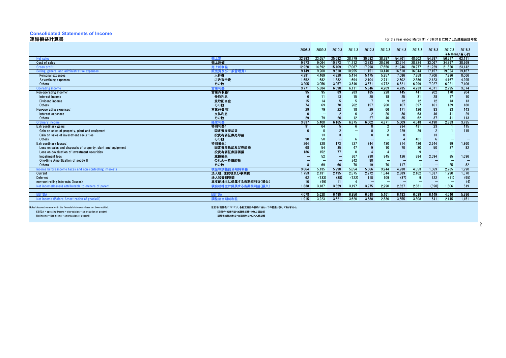## **Consolidated Statements of Income**

連結損益計算書 For the year ended March 31 / 3月31日に終了した連結会計年度

|                                                              |                     | 2008.3 | 2009.3      | 2010.3            | 2011.3 | 2012.3 | 2013.3                   | 2014.3                   | 2015.3                   | 2016.3                   | 2017.3                   | 2018.3        |
|--------------------------------------------------------------|---------------------|--------|-------------|-------------------|--------|--------|--------------------------|--------------------------|--------------------------|--------------------------|--------------------------|---------------|
|                                                              |                     |        |             |                   |        |        |                          |                          |                          |                          |                          | ¥Millions/百万円 |
| Net sales                                                    | 売上高                 | 22.893 | 23.657      | 25.682            | 28.779 | 30.582 | 38,287                   | 54.761                   | 48.602                   | 54.297                   | 56.717                   | 62.111        |
| Cost of sales                                                | 売上原価                | 9.973  | 9.064       | 10.273            | 11.712 | 13.283 | 20.636                   | 33.514                   | 28.324                   | 33.067                   | 34.897                   | 38.969        |
| <b>Gross profit</b>                                          | 売上総利益               | 12.920 | 14.592      | 15.409            | 17.067 | 17.298 | 17.650                   | 21.246                   | 20.277                   | 21.229                   | 21.820                   | 23.142        |
| Selling, general and administrative expenses:                | 販売費及び一般管理費:         | 9.149  | 9.208       | 9.310             | 10.955 | 11.451 | 13.440                   | 16,510                   | 16.044                   | 17.157                   | 19,024                   | 19,467        |
| Personal expenses                                            | 人件費                 | 4,291  | 4,469       | 4,920             | 5.414  | 5,475  | 5,957                    | 7,086                    | 7,358                    | 7,706                    | 7,936                    | 8,066         |
| <b>Advertising expenses</b>                                  | 広告宣伝費               | 1,652  | 1,682       | 1,332             | 1.694  | 2,104  | 2,711                    | 2,602                    | 2.386                    | 2,423                    | 4.167                    | 4,295         |
| Others                                                       | その他                 | 3.205  | 3.056       | 3.057             | 3.846  | 3.871  | 4.772                    | 6.821                    | 6.299                    | 7.027                    | 6.921                    | 7.106         |
| <b>Operating income</b>                                      | 営業利益                | 3,771  | 5,384       | 6,098             | 6,111  | 5.846  | 4,209                    | 4,735                    | 4,233                    | 4,071                    | 2,795                    | 3,674         |
| Non-operating income:                                        | 営業外収益:              | 95     | 95          | 89                | 283    | 185    | 228                      | 445                      | 441                      | 202                      | 170                      | 204           |
| Interest income                                              | 受取利息                |        | $1^{\circ}$ | 13 <sup>2</sup>   | 15     | 20     | 18                       | 25                       | 31                       | 28                       | 17                       | 10            |
| Dividend income                                              | 受取配当金               |        | 14          |                   |        |        |                          | 12                       | 12                       | 12                       | 13                       | 13            |
| Others                                                       | その他                 |        | 69          |                   | 262    | 157    | 200                      | 407                      | 397                      | 161                      | 139                      | 180           |
| Non-operating expenses:                                      | 営業外費用:              | 29     | 79          | 22                | 18     | 29     | 66                       | 171                      | 126                      | 83                       | 83                       | 143           |
| Interest expenses                                            | 支払利息                |        |             |                   |        |        | 20                       | 86                       | 63                       | 46                       |                          | 29            |
| Others                                                       | その他                 | 29     | 79          | 20                | 12     | 27     | 46                       | 85                       | 62                       | 37                       |                          | 113           |
| Ordinary income                                              | 経常利益                | 3,837  | 5,400       | 6.165             | 6.375  | 6.002  | 4.371                    | 5,009                    | 4.548                    | 4.190                    | 2,883                    | 3.735         |
| Extraordinary gains:                                         | 特別利益:               | 91     | 64          |                   |        |        |                          | 234                      | 431                      | 23                       |                          | 115           |
| Gain on sales of property, plant and equipment               | 固定資産売却益             |        |             |                   |        |        |                          | 229                      | 29                       |                          |                          | 115           |
| Gain on sales of investment securities                       | 投資有価証券売却益           |        | 13          |                   |        |        |                          |                          | $\overline{\phantom{0}}$ |                          |                          |               |
| Others                                                       | その他                 | 90     | 50          | -                 |        |        | -                        |                          | 401                      |                          |                          |               |
| <b>Extraordinary losses:</b>                                 | 特別損失:               | 264    | 328         | 173               | 727    | 344    | 430                      | 314                      | 426                      | 2,644                    | 99                       | 1,860         |
| Loss on sales and disposals of property, plant and equipment | 固定資産除却及び売却損         | 68     | 54          | 35                | 47     |        |                          | 70                       | 30                       | 50                       | 37                       | 82            |
| Loss on devaluation of investment securities                 | 投資有価証券評価損           | 186    | 152         | 77                |        |        |                          |                          |                          |                          |                          |               |
| Impairment loss                                              | 減損損失                |        | 52          | $\qquad \qquad$   | 367    | 230    | 345                      | 126                      | 384                      | 2,594                    | 35                       | 1,696         |
| One-time Amortization of goodwill                            | のれん一時償却額            |        | -           | $\qquad \qquad -$ | 242    | 80     | $\overline{\phantom{0}}$ | $\overline{\phantom{0}}$ |                          | -                        | $\overline{\phantom{0}}$ |               |
| Others                                                       | その他                 |        | 69          | 60                | 70     | 19     | 70                       | 117                      |                          | $\overline{\phantom{0}}$ | 25                       | 82            |
| Income before income taxes and non-controlling interests     | 税金等<br>当期純利益        | 3.664  | 5.135       | 5.998             | 5.654  | 5.666  | 3.944                    | 4.930                    | 4.553                    | 1.569                    | 2.785                    | 1.990         |
| Current                                                      | 法人税、住民税及び事業税        | 1,753  | 2,131       | 2,495             | 2,575  | 2,272  | 1,544                    | 2,389                    | 2,162                    | 1,637                    | 1,290                    | 1,570         |
| Deferred                                                     | 法人税等調整額             | 62     | (133)       | (38)              | (122)  | 118    | 109                      | (87)                     | g                        | 322                      | (11)                     | (95)          |
| non-controlling interests (losses)                           | 非支配株主に帰属する当期純利益(損失) |        | (49)        | 11                |        |        | $\overline{\phantom{0}}$ | $\overline{\phantom{0}}$ | -                        | $\overline{\phantom{0}}$ | $\overline{\phantom{0}}$ | (4)           |
| Net income(losses) attributable to owners of parent          | 親会社株主に帰属する当期純利益(損失  | 1.838  | 3.187       | 3.529             | 3.197  | 3,275  | 2.290                    | 2.627                    | 2.381                    | (390)                    | 1.506                    | 519           |
|                                                              |                     |        |             |                   |        |        |                          |                          |                          |                          |                          |               |
| <b>EBITD</b>                                                 | <b>EBITDA</b>       | 4.078  | 5,628       | 6,490             | 6,856  | 6,540  | 5,161                    | 6,483                    | 6,039                    | 6.149                    | 4,546                    | 5,396         |
| Net income (Before Amortization of goodwi                    | 調整後当期純利益            | 1.915  | 3.223       | 3.621             | 3.620  | 3.680  | 2.836                    | 3.555                    | 3.308                    | 641                      | 2.145                    | 1.151         |

Notes: Account summaries in the financial statements have not been audited. ことには、インタンの出会社のようなのがある。 このことには、各勤定科目の要約に当たっての監査は受けておりません。

Net income = Net income + amortization of goodwill 調整後当期純利益=当期純利益+のれん償却額

EBITDA = operating income + depreciation + amortization of goodwill EBITDA=営業利益+減価償却費+のれん償却額

2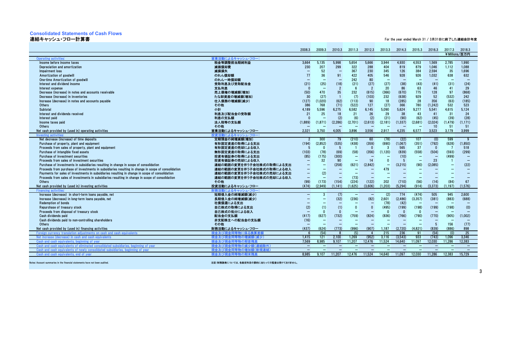# **Consolidated Statements of Cash Flows**

```
連結キャッシュ・フロー計算書 For the year ended March 31 / 3月31日に終了した連結会計年度
```

|                                                                                                     |                                      | 2008.3                   | 2009.3                   | 2010.3                   | 2011.3                   | 2012.3                   | 2013.3                   | 2014.3                   | 2015.3                   | 2016.3          | 2017.3                   | 2018.3        |
|-----------------------------------------------------------------------------------------------------|--------------------------------------|--------------------------|--------------------------|--------------------------|--------------------------|--------------------------|--------------------------|--------------------------|--------------------------|-----------------|--------------------------|---------------|
|                                                                                                     |                                      |                          |                          |                          |                          |                          |                          |                          |                          |                 |                          | ¥Millions/百万円 |
| Operating activi<br>Income before income taxes                                                      | によるキャッシュ・フロー<br>税金等調整前当期純利益          | 3.664                    |                          | 5.998                    | 5.654                    | 5,666                    | 3.944                    | 4.930                    | 4,553                    | 1.569           | 2.785                    | 1.990         |
| Depreciation and amortization                                                                       | 減価償却費                                | 230                      | 5,135<br>207             | 299                      |                          | 288                      | 404                      | 819                      | 879                      | 1.046           | 1.112                    | 1.088         |
| Impairment loss                                                                                     | 減損損失                                 |                          | 52                       | $\overline{\phantom{0}}$ | 322<br>367               | 230                      | 345                      | 126                      | 384                      | 2,594           | 35                       | 1,696         |
|                                                                                                     | のれん償却額                               | 77                       | 36                       | 91                       | 422                      | 405                      | 546                      | 928                      | 926                      | 1.032           | 638                      | 632           |
| Amortization of goodwill<br>One-time Amortization of goodwill                                       | のれん一時償却額                             |                          |                          | $\overline{\phantom{0}}$ | 242                      | 80                       | $\overline{\phantom{0}}$ |                          |                          |                 |                          |               |
| Interest and dividend income                                                                        | 受取利息及び受取配当金                          | (21)                     | (25)                     | (18)                     | (21)                     | (27)                     | (27)                     | (38)                     | (43)                     | (41)            | (31)                     | (24)          |
| Interest expense                                                                                    | 支払利息                                 |                          |                          | $\overline{2}$           | - 6                      | $\overline{2}$           | 20                       | 86                       | 63                       | 46              | 41                       | 29            |
| Decrease (increase) in notes and accounts receivable                                                | 売上債権の増減額(増加)                         | (50)                     | 470                      | 35                       | 232                      | (615)                    | (366)                    | (670)                    | 775                      | 128             | 97                       | (868)         |
| Decrease (increase) in inventories                                                                  | たな卸資産の増減額(増加)                        | 30                       | (27)                     |                          | (7)                      | (103)                    | 232                      | (638)                    | 929                      | 52              | (532)                    | 242           |
| Increase (decrease) in notes and accounts pavable                                                   | 仕入債務の増減額(減少)                         | (127)                    | (1.020)                  | (62)                     | (113)                    | 90                       | 18                       | (285)                    | 28                       | 356             | (63)                     | (185)         |
| Others                                                                                              | その他                                  | 386                      | 768                      | (71)                     | (522)                    | 127                      | (27)                     | 366                      | 780                      | (1, 242)        | 532                      | 523           |
| Subtotal                                                                                            | 小計                                   | 4.189                    | 5.596                    | 6.275                    | 6,582                    | 6,145                    | 5.090                    | 5,624                    | 9,277                    | 5.541           | 4.615                    | 5,124         |
| Interest and dividends received                                                                     | 利息及び配当金の受取額                          | 21                       | 25                       | 18                       | 21                       | 26                       | 29                       | 38                       | 43                       | 41              | 31                       | 24            |
| Interest paid                                                                                       | 利息の支払額                               |                          |                          | (2)                      | (6)                      | (2)                      | (21)                     | (90)                     | (62)                     | (45)            | (39)                     | (28)          |
| Income taxes paid                                                                                   | 法人税等の支払額                             | (1.889)                  | (1.871)                  | (2.286)                  | (2,701)                  | (2.613)                  | (2.181)                  | (1, 337)                 | (2.681)                  | (2.024)         | (1, 479)                 | (1.171)       |
| Others                                                                                              | その他                                  |                          |                          |                          |                          |                          |                          |                          |                          | 10              | 51                       | 51            |
| Net cash provided by (used in) operating activities                                                 | 営業活動によるキャッシュ・フロー                     | 2,321                    | 3,750                    | 4,005                    | 3,896                    | 3,556                    | 2,917                    | 4,235                    | 6,577                    | 3,523           | 3,179                    | 3,999         |
| Investing activi                                                                                    | 投資活                                  |                          |                          |                          |                          |                          |                          |                          |                          |                 |                          |               |
| Net decrease (increase) of time deposits                                                            | 定期預金の純増減額(増加)                        | $\overline{2}$           | 300                      | 79                       | (210)                    | 60                       | (78)                     | (22)                     | 107                      | (0)             | 599                      | g             |
| Purchase of property, plant and equipment                                                           | 有形固定資産の取得による支出                       | (194)                    | (2,852)                  | (535)                    | (438)                    | (359)                    | (690)                    | (1,067)                  | (351)                    | (792)           | (628)                    | (1,850)       |
| Proceeds from sales of property, plant and equipment                                                | 有形固定資産の売却による収入                       |                          | $\mathbf{0}$             | -5                       |                          | $\Omega$                 | -3                       | 565                      | 37                       | $\mathbf{0}$    |                          | 518           |
| Purchase of intangible fixed assets                                                                 | 無形固定資産の取得による支出                       | (103)                    | (78)                     | (69)                     | (58)                     | (356)                    | (1, 120)                 | (839)                    | (558)                    | (504)           | (593)                    | (299)         |
| Purchase of investment securities                                                                   | 投資有価証券の取得による支出                       | (85)                     | (175)                    | (300)                    |                          |                          | $\equiv$                 | (10)                     |                          | $\sim$          | (499)                    |               |
| Proceeds from sales of investment securities                                                        | 投資有価証券の売却による収入                       |                          | 32                       | 90                       | $\overline{\phantom{0}}$ | 14                       | $\Omega$                 |                          |                          | 23              |                          |               |
| Purchase of investments in subsidiaries resulting in change in scope of consolidation               | 連結の範囲の変更を伴う子会社株式の取得による支出             | $\overline{\phantom{0}}$ |                          | (258)                    | (621)                    | (2.842)                  | $\qquad \qquad -$        | (3,215)                  | (90)                     | (2.085)         | $\overline{\phantom{0}}$ | (22)          |
| Proceeds from purchase of investments in subsidiaries resulting in change in scope of consolidation | 連結の範囲の変更を伴う子会社株式の取得による収入             | -                        | -                        |                          |                          |                          | 479                      |                          |                          |                 |                          |               |
| Payments for sales of investments in subsidiaries resulting in change in scope of consolidation     | 連結の範囲の変更を伴う子会社株式の売却による支出             | -                        | (2)<br>$\equiv$          | $\qquad \qquad -$        |                          |                          |                          |                          |                          |                 |                          |               |
| Proceeds from sales of investments in subsidiaries resulting in change in scope of consolidation    | 連結の範囲の変更を伴う子会社株式の売却による収入             | $\overline{\phantom{0}}$ | (173)                    | $\overline{\phantom{0}}$ | (73)                     | $\overline{\phantom{a}}$ | $\overline{\phantom{0}}$ |                          |                          | -               | $\sim$                   |               |
| Others<br>Net cash provided by (used in) investing activities                                       | その他                                  | (99)<br>(474)            | (2.949)                  | (154)<br>(1.141)         | (224)<br>(1.625)         | (122)<br>(3.606)         | 202<br>(1.203)           | (710)<br>(5.294)         | (56)<br>(914)            | (14)<br>(3.373) | (84)<br>(1.197)          | 67<br>(1.576) |
| <b>Financing activ</b>                                                                              | 投資活動によるキャッシュ・フロー<br>財務活動によるキャッシュ・フロー |                          |                          |                          |                          |                          |                          |                          |                          |                 |                          |               |
| Increase (decrease) in short-term loans payable, net                                                | 短期借入金の純増減額(減少)                       | $-$                      |                          | (7)                      | $\overline{\phantom{0}}$ | $\overline{\phantom{0}}$ | (2)                      | 774                      | (474)                    | 505             | 945                      | 2.600         |
| Increase (decrease) in long-term loans pavable, net                                                 | 長期借入金の純増減額(減少)                       |                          |                          | (32)                     | (236)                    | (82)                     | 2.601                    | (2.486)                  | (3, 357)                 | (381)           | (883)                    | (688)         |
| <b>Redemption of bonds</b>                                                                          | 社債償還による支出                            |                          |                          | -                        |                          | $\overline{\phantom{a}}$ | (78)                     | (42)                     | $\overline{\phantom{0}}$ |                 |                          |               |
| Repurchase of treasury stock                                                                        | 自己株式の取得による支出                         | (2)                      | (1)                      | (1)                      | $\Omega$                 | $\Omega$                 | (495)                    | (199)                    | (198)                    | (199)           | (198)                    | (0)           |
| Proceeds from disposal of treasury stock                                                            | 自己株式の処分による収入                         |                          | $\Omega$                 | $\Omega$                 |                          |                          | $\Omega$                 |                          | $\Omega$                 |                 |                          |               |
| Cash dividends paid                                                                                 | 配当金の支払額                              | (417)                    | (627)                    | (732)                    | (759)                    | (824)                    | (836)                    | (766)                    | (790)                    | (770)           | (905)                    | (1,002)       |
| Cash dividends paid to non-controlling shareholders                                                 | 非支配株主への配当金の支払額                       | (16)                     | $\overline{\phantom{a}}$ | $\overline{\phantom{0}}$ |                          |                          |                          |                          |                          | -               |                          |               |
| Others                                                                                              | その他                                  |                          |                          | $\overline{\phantom{0}}$ | $\overline{\phantom{0}}$ |                          | $\overline{\phantom{0}}$ |                          |                          | 5               | 156                      | (77)          |
| Net cash provided by (used in) financing activities                                                 | 財務活動によるキャッシュ・フロー                     | (437)                    | (624)                    | (773)                    | (996)                    | (907)                    | 1.187                    | (2.720)                  | (4.821)                  | (839)           | (886)                    | 898           |
| Foreign currency trans<br>nents on cash and cash equivalents                                        | 現金及び                                 |                          | (54)                     | 8                        | (5)                      |                          | 215                      | 236                      | 91                       | (54)            | (0)                      | 25            |
| Net increase<br>(decrease) in cash and cash equivalents                                             | 現金及び<br>配 減少<br>昆物の集                 | 1.415                    | 121                      | 2.100                    | 1.269                    | (952)                    | 3.116                    | (3.543)                  | 933                      | (743)           | 1.096                    | 3.346         |
| Cash and                                                                                            | 現金及71                                | 7,569                    | 8.985                    | 9.107                    | 11,207                   | 12,476                   | 11,524                   | 14,640                   | 11,097                   | 12,030          | 11,286                   | 12,383        |
| Cash and cash<br>ated s<br>auivalents of e<br>nning of vear                                         | 現金及び<br>ミ外○                          | $\overline{\phantom{0}}$ |                          | $\overline{\phantom{0}}$ | $\overline{\phantom{0}}$ |                          |                          | $\overline{\phantom{a}}$ |                          |                 |                          |               |
| Cash and cash equivalents of newly cons<br>ated subsidiaries, beginn<br>ing of vear                 | 現金及び                                 | $\overline{\phantom{a}}$ |                          |                          |                          |                          |                          |                          |                          |                 |                          |               |
| Cash and cash equivalents, end of year                                                              | 現金及び現金同等物の期末残高                       | 8.985                    | 9.107                    | 11.207                   | 12.476                   | 11.524                   | 14.640                   | 11.097                   | 12.030                   | 11.286          | 12.383                   | 15.729        |

Notes: Account summaries in the financial statements have not been audited. ことには、このためには、この主義をもとしては、各制定科目の要約に当たっての監査は受けておりません。

3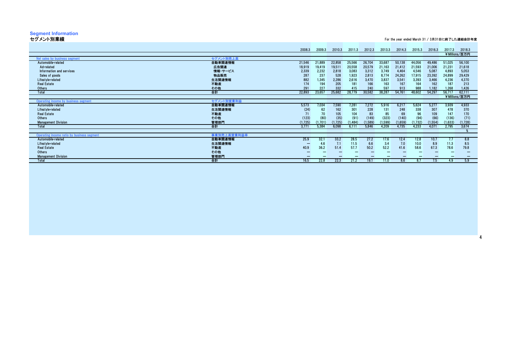# **Segment Information**

セグメント別業績 For the year ended March 31 / 3月31日に終了した連結会計年度

4

|             | 2008.3     | 2009.3  | 2010.3  | 2011.3   | 2012.3  | 2013.3  | 2014.3  | 2015.3  | 2016.3  | 2017.3  | 2018.3        |
|-------------|------------|---------|---------|----------|---------|---------|---------|---------|---------|---------|---------------|
|             |            |         |         |          |         |         |         |         |         |         | ¥Millions/百万円 |
| セグメント別売上高   |            |         |         |          |         |         |         |         |         |         |               |
| 自動車関連情報     | 21,546     | 21,889  | 22,858  | 25,566   | 26,704  | 33,687  | 50,138  | 44,056  | 49,486  | 51,025  | 56,100        |
| 広告関連        | 18,919     | 19,419  | 19,511  | 20,558   | 20,579  | 21,163  | 21,412  | 21,593  | 21,006  | 21,231  | 21,618        |
| 情報・サービス     | 2,339      | 2,232   | 2,818   | 3,083    | 3,312   | 3,749   | 4,464   | 4,546   | 5,087   | 4,893   | 5,053         |
| 物品販売        | 287        | 237     | 528     | 1,923    | 2,813   | 8,774   | 24,262  | 17,915  | 23,392  | 24,899  | 29,429        |
| 生活関連情報      | 882        | 1,345   | 2,286   | 2,616    | 3,470   | 3,837   | 3,541   | 3,393   | 3,466   | 4,236   | 4,370         |
|             | 174        | 194     |         | 181      | 166     |         | 167     | 164     | 162     | 187     | 213           |
| その他         | 291        | 227     | 332     | 415      | 240     | 597     | 913     | 988     | 1.182   | 1.268   | 1.426         |
| 合計          | 22,893     | 23,657  | 25,682  | 28,779   | 30,582  | 38,287  | 54,761  | 48,602  | 54,297  | 56.717  | 62,111        |
|             |            |         |         |          |         |         |         |         |         |         | ¥Millions/百万円 |
| セグメント別営業利益  |            |         |         |          |         |         |         |         |         |         |               |
| 自動車関連情報     | 5,573      | 7,034   | 7,590   | 7,281    | 7,272   | 5,916   | 6,217   | 5,624   | 5,277   | 3,939   | 4,933         |
| 生活関連情報      | (24)       | 62      | 162     | 301      | 228     | 131     | 248     | 338     | 307     | 478     | 370           |
|             | 71         | 70      | 105     | 104      | 83      | 85      | 69      | 96      | 109     | 147     | 170           |
| その他         | (123)      | (80)    | (35)    | (91)     | (149)   | (323)   | (140)   | (94)    | (66)    | (136)   | (71)          |
| 管理部門        | (1, 725)   | (1.701) | (1.725) | (1, 484) | (1.589) | (1,599) | (1.659) | (1,732) | (1,554) | (1.633) | (1,728)       |
| 合計          | 3.771      | 5.384   | 6.098   | 6.111    | 5.846   | 4.209   | 4.735   | 4.233   | 4.071   | 2.795   | 3,674         |
|             |            |         |         |          |         |         |         |         |         |         |               |
| 事業別売上高営業利益率 |            |         |         |          |         |         |         |         |         |         |               |
| 自動車関連情報     | 25.9       | 32.1    | 33.2    | 28.5     | 27.2    | 17.6    | 12.4    | 12.8    | 10.7    | 7.7     | 8.8           |
| 生活関連情報      |            | 4.6     | 7.1     | 11.5     | 6.6     | 3.4     | 7.0     | 10.0    | 8.9     | 11.3    | 8.5           |
| 不動産         | 40.9       | 36.2    | 51.4    | 57.7     | 50.2    | 52.2    | 41.6    | 58.6    | 67.3    | 78.6    | 79.8          |
| その他         |            |         |         |          |         |         |         |         |         |         |               |
| 管理部門        |            |         |         |          |         |         |         |         |         |         |               |
| 合計          | 16.5       | 22.8    | 22.3    | 21.2     | 19.1    | 11.0    | 8.6     | 8.7     | 7.5     | 4.9     | 5.9           |
|             | 不動産<br>不動産 |         |         | 205      |         |         | 163     |         |         |         |               |